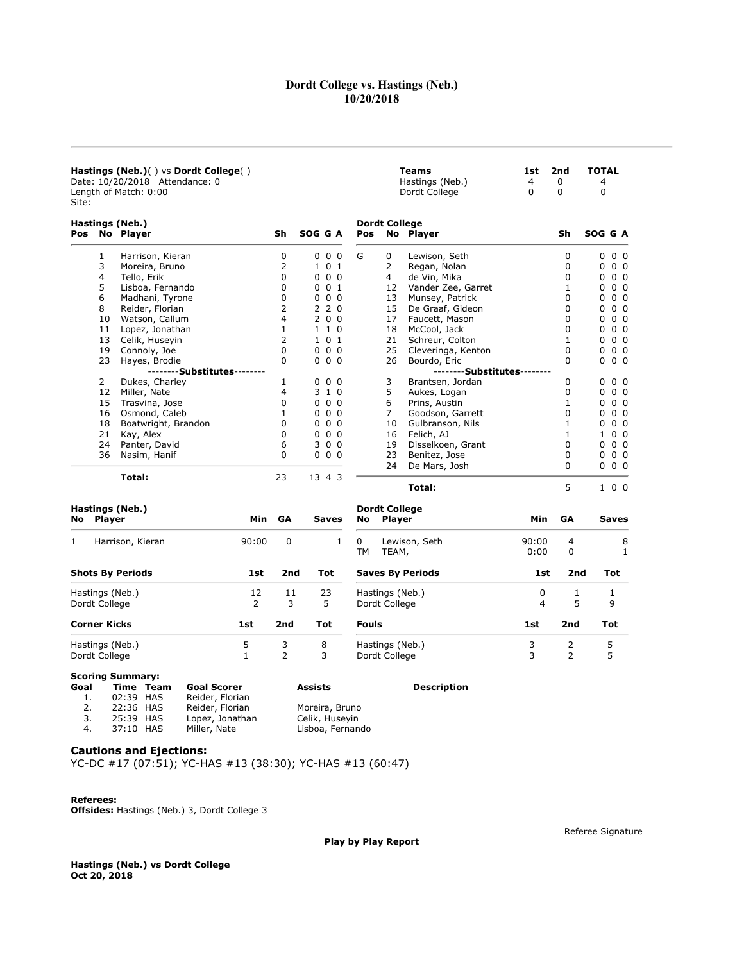# Dordt College vs. Hastings (Neb.) 10/20/2018

**Teams** 1st 2nd TOTAL<br>
Hastings (Neb.) 4 0 4<br>
Dordt College 0 0 0

Hastings (Neb.) 4 0<br>Dordt College 0 0

Dordt College

| Hastings (Neb.)() vs Dordt College() |
|--------------------------------------|
| Date: 10/20/2018 Attendance: 0       |
| Length of Match: 0:00                |
| Site:                                |

| Pos       |    | Hastings (Neb.)<br>No Player |     | Sh        | SOG G A      |                   | <b>Dordt College</b><br>Pos |        | No Player          |     | Sh | SOG G A      |                |
|-----------|----|------------------------------|-----|-----------|--------------|-------------------|-----------------------------|--------|--------------------|-----|----|--------------|----------------|
|           |    |                              |     |           |              |                   |                             |        |                    |     |    |              |                |
|           | 1  | Harrison, Kieran             |     | 0         |              | $0\quad0\quad0$   | G                           | 0      | Lewison, Seth      |     | 0  | 0            | 0 <sub>0</sub> |
|           | 3  | Moreira, Bruno               |     | 2         | $\mathbf{1}$ | 0 <sub>1</sub>    |                             | 2      | Regan, Nolan       |     | 0  | 0            | 0 <sub>0</sub> |
|           | 4  | Tello, Erik                  |     | 0         | $\Omega$     | 0 <sub>0</sub>    |                             | 4      | de Vin, Mika       |     | 0  | 0            | 0 <sub>0</sub> |
|           | 5  | Lisboa, Fernando             |     | 0         | 0            | 0 <sub>1</sub>    |                             | 12     | Vander Zee, Garret |     |    | 0            | 0 <sub>0</sub> |
|           | 6  | Madhani, Tyrone              |     | 0         | 0            | 0 <sub>0</sub>    |                             | 13     | Munsey, Patrick    |     | 0  | 0            | 0 <sub>0</sub> |
|           | 8  | Reider, Florian              |     | 2         | 2            | 2 <sub>0</sub>    |                             | 15     | De Graaf, Gideon   |     | 0  | 0            | 0 <sub>0</sub> |
|           | 10 | Watson, Callum               |     | 4         |              | 200               |                             | 17     | Faucett, Mason     |     | 0  | 0            | 0 <sub>0</sub> |
|           | 11 | Lopez, Jonathan              |     |           | 1.           | 1 0               |                             | 18     | McCool, Jack       |     | 0  | 0            | 0 <sub>0</sub> |
|           | 13 | Celik, Huseyin               |     | 2         |              | 101               |                             | 21     | Schreur, Colton    |     | 1  | 0            | 0 <sub>0</sub> |
|           | 19 | Connoly, Joe                 |     | 0         | 0            | 0 <sub>0</sub>    |                             | 25     | Cleveringa, Kenton |     | 0  | 0            | 0 <sub>0</sub> |
|           | 23 | Hayes, Brodie                |     | $\Omega$  |              | $0\quad 0\quad 0$ |                             | 26     | Bourdo, Eric       |     | 0  | 0            | 0 <sub>0</sub> |
|           |    | -Substitutes <sup>.</sup>    |     |           |              |                   |                             |        | --Substitutes      |     |    |              |                |
|           | 2  | Dukes, Charley               |     | 1         | $\Omega$     | 0 <sub>0</sub>    |                             | 3      | Brantsen, Jordan   |     | 0  | 0            | 0 <sub>0</sub> |
|           | 12 | Miller, Nate                 |     | 4         | 3            | $1\,0$            |                             | 5      | Aukes, Logan       |     | 0  | 0            | 0 <sub>0</sub> |
|           | 15 | Trasvina, Jose               |     | 0         | 0            | 0 <sub>0</sub>    |                             | 6      | Prins, Austin      |     |    | 0            | 0 <sub>0</sub> |
|           | 16 | Osmond, Caleb                |     |           | 0            | 0 <sub>0</sub>    |                             | 7      | Goodson, Garrett   |     | 0  | 0            | 0 <sub>0</sub> |
|           | 18 | Boatwright, Brandon          |     | 0         | 0            | 0 <sub>0</sub>    |                             | 10     | Gulbranson, Nils   |     |    | 0            | 0 <sub>0</sub> |
|           | 21 | Kay, Alex                    |     | 0         | 0            | 0 <sub>0</sub>    |                             | 16     | Felich, AJ         |     |    | $\mathbf{1}$ | 0 <sub>0</sub> |
|           | 24 | Panter, David                |     | 6         | 3            | 0 <sub>0</sub>    |                             | 19     | Disselkoen, Grant  |     | 0  | 0            | 0 <sub>0</sub> |
|           | 36 | Nasim, Hanif                 |     | 0         | $\Omega$     | 0 <sub>0</sub>    |                             | 23     | Benitez, Jose      |     | 0  | 0            | 0 <sub>0</sub> |
|           |    |                              |     |           |              |                   |                             | 24     | De Mars, Josh      |     | 0  | 0            | 0 <sub>0</sub> |
|           |    | Total:                       |     | 23        |              | 13 4 3            |                             |        |                    |     |    |              |                |
|           |    |                              |     |           |              |                   |                             |        | Total:             |     | 5  |              | 100            |
|           |    | Hastings (Neb.)              |     |           |              |                   | <b>Dordt College</b>        |        |                    |     |    |              |                |
| No Player |    |                              | Min | <b>GA</b> |              | Saves             | No                          | Player |                    | Min | GA |              | <b>Saves</b>   |

| 1<br>Harrison, Kieran            | 90:00   | 0       | $\mathbf{1}$ | Lewison, Seth<br>0<br>ТM<br>TEAM, | 90:00<br>0:00 | 4<br>0 | 8      |
|----------------------------------|---------|---------|--------------|-----------------------------------|---------------|--------|--------|
| <b>Shots By Periods</b>          | 1st     | 2nd     | Tot          | <b>Saves By Periods</b>           | 1st           | 2nd    | Tot    |
| Hastings (Neb.)<br>Dordt College | 12<br>2 | 11<br>3 | 23<br>5      | Hastings (Neb.)<br>Dordt College  | 0<br>4        | 5      | 9      |
| <b>Corner Kicks</b>              | 1st     | 2nd     | Tot          | <b>Fouls</b>                      | 1st           | 2nd    | Tot    |
| Hastings (Neb.)<br>Dordt College | 5       | 3<br>2  | 8<br>3       | Hastings (Neb.)<br>Dordt College  | 3<br>3        | 2<br>2 | 5<br>5 |

### Scoring Summary:

| Goal |           | Time Team | Goal Scorer     | ASSISTS         |
|------|-----------|-----------|-----------------|-----------------|
| 1.   | 02:39 HAS |           | Reider, Florian |                 |
| 2.   | 22:36 HAS |           | Reider, Florian | Moreira, Bruno  |
| 3.   | 25:39 HAS |           | Lopez, Jonathan | Celik, Huseyin  |
| 4.   | 37:10 HAS |           | Miller, Nate    | Lisboa, Fernand |

Lisboa, Fernando

# Goal Time Team Goal Scorer Assists Description

Cautions and Ejections:

YC-DC #17 (07:51); YC-HAS #13 (38:30); YC-HAS #13 (60:47)

#### Referees:

Offsides: Hastings (Neb.) 3, Dordt College 3

Play by Play Report

Hastings (Neb.) vs Dordt College Oct 20, 2018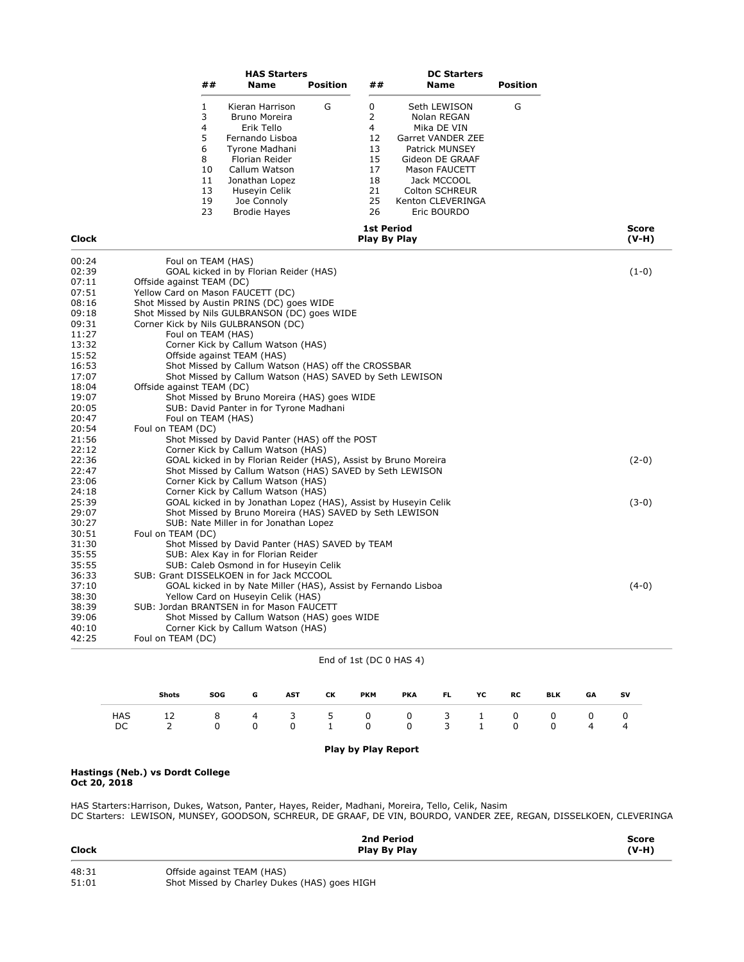| ## | <b>HAS Starters</b><br><b>Name</b> | Position | ## | <b>DC Starters</b><br><b>Name</b> | <b>Position</b> |
|----|------------------------------------|----------|----|-----------------------------------|-----------------|
|    | Kieran Harrison                    | G        | 0  | Seth LEWISON                      | G               |
| 3  | Bruno Moreira                      |          | 2  | Nolan REGAN                       |                 |
| 4  | Erik Tello                         |          | 4  | Mika DE VIN                       |                 |
| 5  | Fernando Lisboa                    |          | 12 | Garret VANDER ZEE                 |                 |
| 6  | Tyrone Madhani                     |          | 13 | Patrick MUNSEY                    |                 |
| 8  | Florian Reider                     |          | 15 | Gideon DE GRAAF                   |                 |
| 10 | Callum Watson                      |          | 17 | Mason FAUCETT                     |                 |
| 11 | Jonathan Lopez                     |          | 18 | Jack MCCOOL                       |                 |
| 13 | Huseyin Celik                      |          | 21 | <b>Colton SCHREUR</b>             |                 |
| 19 | Joe Connoly                        |          | 25 | Kenton CLEVERINGA                 |                 |
| 23 | <b>Brodie Hayes</b>                |          | 26 | Eric BOURDO                       |                 |

| <b>Clock</b> | <b>1st Period</b><br>Play By Play                               | <b>Score</b><br>$(V-H)$ |
|--------------|-----------------------------------------------------------------|-------------------------|
| 00:24        | Foul on TEAM (HAS)                                              |                         |
| 02:39        | GOAL kicked in by Florian Reider (HAS)                          | $(1-0)$                 |
| 07:11        | Offside against TEAM (DC)                                       |                         |
| 07:51        | Yellow Card on Mason FAUCETT (DC)                               |                         |
| 08:16        | Shot Missed by Austin PRINS (DC) goes WIDE                      |                         |
| 09:18        | Shot Missed by Nils GULBRANSON (DC) goes WIDE                   |                         |
| 09:31        | Corner Kick by Nils GULBRANSON (DC)                             |                         |
| 11:27        | Foul on TEAM (HAS)                                              |                         |
| 13:32        | Corner Kick by Callum Watson (HAS)                              |                         |
| 15:52        | Offside against TEAM (HAS)                                      |                         |
| 16:53        | Shot Missed by Callum Watson (HAS) off the CROSSBAR             |                         |
| 17:07        | Shot Missed by Callum Watson (HAS) SAVED by Seth LEWISON        |                         |
| 18:04        | Offside against TEAM (DC)                                       |                         |
| 19:07        | Shot Missed by Bruno Moreira (HAS) goes WIDE                    |                         |
| 20:05        | SUB: David Panter in for Tyrone Madhani                         |                         |
| 20:47        | Foul on TEAM (HAS)                                              |                         |
| 20:54        | Foul on TEAM (DC)                                               |                         |
| 21:56        | Shot Missed by David Panter (HAS) off the POST                  |                         |
| 22:12        | Corner Kick by Callum Watson (HAS)                              |                         |
| 22:36        | GOAL kicked in by Florian Reider (HAS), Assist by Bruno Moreira | $(2-0)$                 |
| 22:47        | Shot Missed by Callum Watson (HAS) SAVED by Seth LEWISON        |                         |
| 23:06        | Corner Kick by Callum Watson (HAS)                              |                         |
| 24:18        | Corner Kick by Callum Watson (HAS)                              |                         |
| 25:39        | GOAL kicked in by Jonathan Lopez (HAS), Assist by Huseyin Celik | $(3-0)$                 |
| 29:07        | Shot Missed by Bruno Moreira (HAS) SAVED by Seth LEWISON        |                         |
| 30:27        | SUB: Nate Miller in for Jonathan Lopez                          |                         |
| 30:51        | Foul on TEAM (DC)                                               |                         |
| 31:30        | Shot Missed by David Panter (HAS) SAVED by TEAM                 |                         |
| 35:55        | SUB: Alex Kay in for Florian Reider                             |                         |
| 35:55        | SUB: Caleb Osmond in for Huseyin Celik                          |                         |
| 36:33        | SUB: Grant DISSELKOEN in for Jack MCCOOL                        |                         |
| 37:10        | GOAL kicked in by Nate Miller (HAS), Assist by Fernando Lisboa  | $(4-0)$                 |
| 38:30        | Yellow Card on Huseyin Celik (HAS)                              |                         |
| 38:39        | SUB: Jordan BRANTSEN in for Mason FAUCETT                       |                         |
| 39:06        | Shot Missed by Callum Watson (HAS) goes WIDE                    |                         |
| 40:10        | Corner Kick by Callum Watson (HAS)                              |                         |
| 42:25        | Foul on TEAM (DC)                                               |                         |

# End of 1st (DC 0 HAS 4)

|      | Shots | SOG                        | G | <b>AST</b> | <b>CK</b> | <b>PKM</b> |                   | PKA FL YC | RC | BLK      | GA | sv |
|------|-------|----------------------------|---|------------|-----------|------------|-------------------|-----------|----|----------|----|----|
| HAS  |       | 12 8 4 3 5 0 0 3 1 0 0 0 0 |   |            |           |            |                   |           |    |          |    |    |
| DC - |       | $\Omega$                   |   |            |           |            | 0 0 1 0 0 0 3 1 0 |           |    | $\Omega$ | 4  |    |

## Play by Play Report

#### Hastings (Neb.) vs Dordt College Oct 20, 2018

HAS Starters:Harrison, Dukes, Watson, Panter, Hayes, Reider, Madhani, Moreira, Tello, Celik, Nasim DC Starters: LEWISON, MUNSEY, GOODSON, SCHREUR, DE GRAAF, DE VIN, BOURDO, VANDER ZEE, REGAN, DISSELKOEN, CLEVERINGA

| <b>Clock</b>   | 2nd Period<br>Play By Play                                                 | Score<br>$(V-H)$ |
|----------------|----------------------------------------------------------------------------|------------------|
| 48:31<br>51:01 | Offside against TEAM (HAS)<br>Shot Missed by Charley Dukes (HAS) goes HIGH |                  |